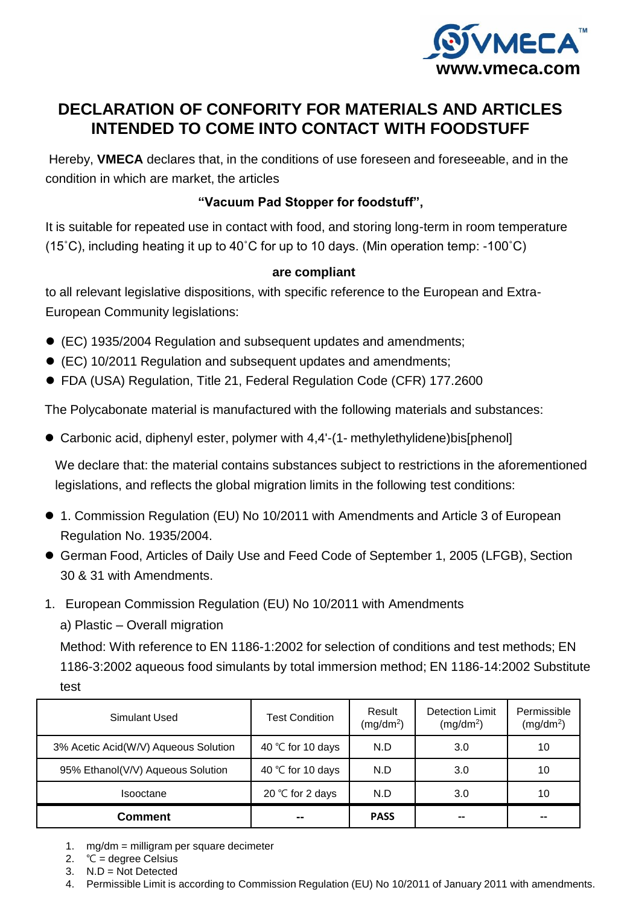

# **DECLARATION OF CONFORITY FOR MATERIALS AND ARTICLES INTENDED TO COME INTO CONTACT WITH FOODSTUFF**

Hereby, **VMECA** declares that, in the conditions of use foreseen and foreseeable, and in the condition in which are market, the articles

# **"Vacuum Pad Stopper for foodstuff",**

It is suitable for repeated use in contact with food, and storing long-term in room temperature (15˚C), including heating it up to 40˚C for up to 10 days. (Min operation temp: -100˚C)

### **are compliant**

to all relevant legislative dispositions, with specific reference to the European and Extra-European Community legislations:

- (EC) 1935/2004 Regulation and subsequent updates and amendments;
- (EC) 10/2011 Regulation and subsequent updates and amendments;
- FDA (USA) Regulation, Title 21, Federal Regulation Code (CFR) 177.2600

The Polycabonate material is manufactured with the following materials and substances:

Carbonic acid, diphenyl ester, polymer with 4,4'-(1- methylethylidene)bis[phenol]

We declare that: the material contains substances subject to restrictions in the aforementioned legislations, and reflects the global migration limits in the following test conditions:

- 1. Commission Regulation (EU) No 10/2011 with Amendments and Article 3 of European Regulation No. 1935/2004.
- German Food, Articles of Daily Use and Feed Code of September 1, 2005 (LFGB), Section 30 & 31 with Amendments.
- 1. European Commission Regulation (EU) No 10/2011 with Amendments

a) Plastic – Overall migration

Method: With reference to EN 1186-1:2002 for selection of conditions and test methods; EN 1186-3:2002 aqueous food simulants by total immersion method; EN 1186-14:2002 Substitute test

| Simulant Used                        | Test Condition     | Result<br>$(mg/dm^2)$ | Detection Limit<br>$(mg/dm^2)$ | Permissible<br>(mg/dm <sup>2</sup> ) |
|--------------------------------------|--------------------|-----------------------|--------------------------------|--------------------------------------|
| 3% Acetic Acid(W/V) Aqueous Solution | 40 °C for 10 days  | N.D                   | 3.0                            | 10                                   |
| 95% Ethanol(V/V) Aqueous Solution    | 40 °C for 10 days  | N.D                   | 3.0                            | 10                                   |
| Isooctane                            | 20 $°C$ for 2 days | N.D                   | 3.0                            | 10                                   |
| Comment                              | --                 | <b>PASS</b>           | --                             |                                      |

1. mg/dm = milligram per square decimeter

2.  $°C = degree Celsius$ 

3. N.D = Not Detected

4. Permissible Limit is according to Commission Regulation (EU) No 10/2011 of January 2011 with amendments.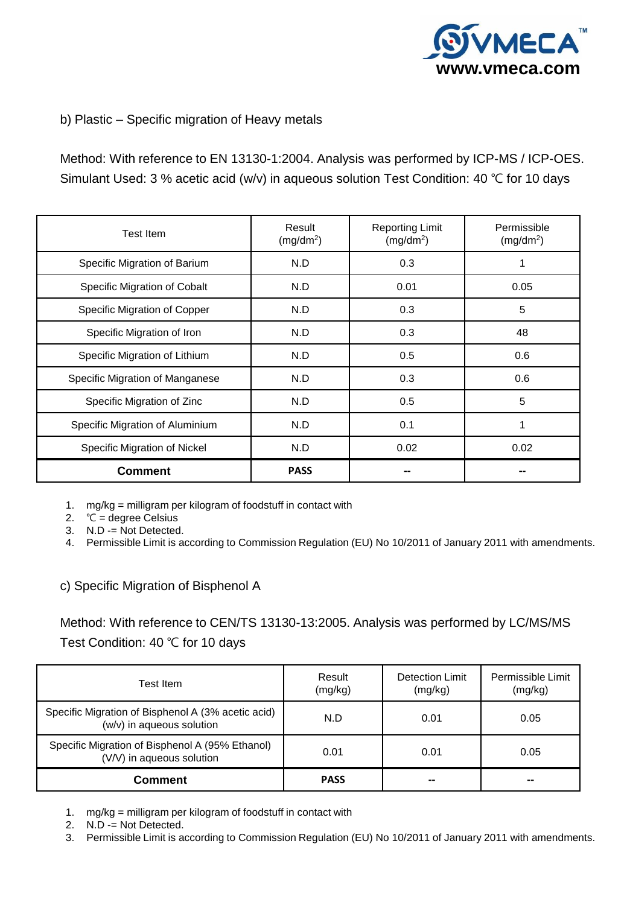

## b) Plastic – Specific migration of Heavy metals

Method: With reference to EN 13130-1:2004. Analysis was performed by ICP-MS / ICP-OES. Simulant Used: 3 % acetic acid (w/v) in aqueous solution Test Condition: 40 ℃ for 10 days

| <b>Test Item</b>                | Result<br>(mg/dm <sup>2</sup> ) | <b>Reporting Limit</b><br>(mg/dm <sup>2</sup> ) | Permissible<br>(mg/dm <sup>2</sup> ) |
|---------------------------------|---------------------------------|-------------------------------------------------|--------------------------------------|
| Specific Migration of Barium    | N.D                             | 0.3                                             | 1                                    |
| Specific Migration of Cobalt    | N.D                             | 0.01                                            | 0.05                                 |
| Specific Migration of Copper    | N.D                             | 0.3                                             | 5                                    |
| Specific Migration of Iron      | N.D                             | 0.3                                             | 48                                   |
| Specific Migration of Lithium   | N.D                             | 0.5                                             | 0.6                                  |
| Specific Migration of Manganese | N.D                             | 0.3                                             | 0.6                                  |
| Specific Migration of Zinc      | N.D                             | 0.5                                             | 5                                    |
| Specific Migration of Aluminium | N.D                             | 0.1                                             | 1                                    |
| Specific Migration of Nickel    | N.D                             | 0.02                                            | 0.02                                 |
| <b>Comment</b>                  | <b>PASS</b>                     |                                                 |                                      |

1. mg/kg = milligram per kilogram of foodstuff in contact with

2.  $°C = degree Celsius$ 

 $\overline{3}$ . N.D -= Not Detected.

4. Permissible Limit is according to Commission Regulation (EU) No 10/2011 of January 2011 with amendments.

c) Specific Migration of Bisphenol A

Method: With reference to CEN/TS 13130-13:2005. Analysis was performed by LC/MS/MS Test Condition: 40 ℃ for 10 days

| Test Item                                                                       | Result<br>(mg/kg) | Detection Limit<br>(mg/kg) | Permissible Limit<br>(mg/kg) |
|---------------------------------------------------------------------------------|-------------------|----------------------------|------------------------------|
| Specific Migration of Bisphenol A (3% acetic acid)<br>(w/v) in aqueous solution | N.D               | 0.01                       | 0.05                         |
| Specific Migration of Bisphenol A (95% Ethanol)<br>(V/V) in aqueous solution    | 0.01              | 0.01                       | 0.05                         |
| <b>Comment</b>                                                                  | <b>PASS</b>       | --                         | --                           |

- 1. mg/kg = milligram per kilogram of foodstuff in contact with
- 2. N.D -= Not Detected.
- 3. Permissible Limit is according to Commission Regulation (EU) No 10/2011 of January 2011 with amendments.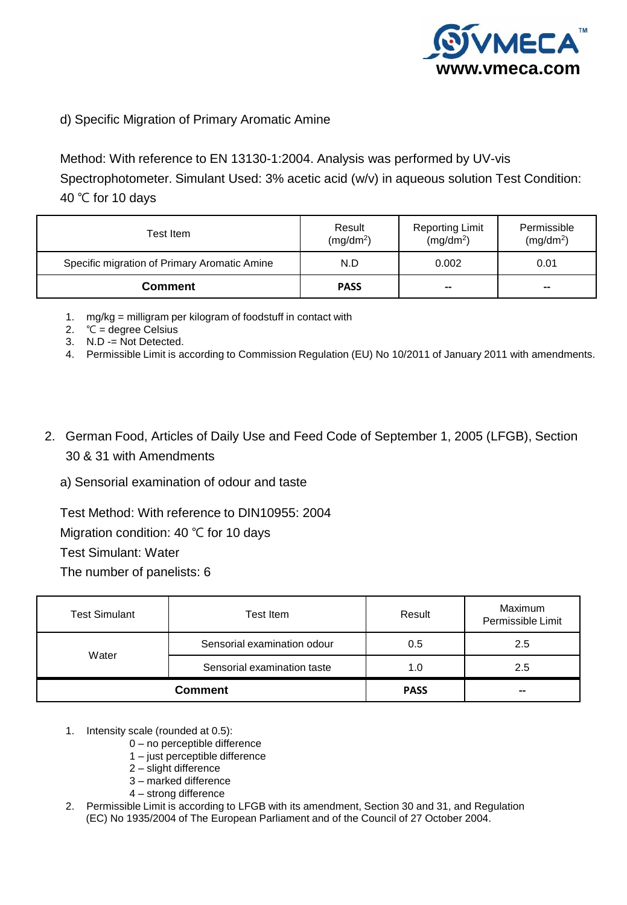

### d) Specific Migration of Primary Aromatic Amine

Method: With reference to EN 13130-1:2004. Analysis was performed by UV-vis Spectrophotometer. Simulant Used: 3% acetic acid (w/v) in aqueous solution Test Condition: 40 ℃ for 10 days

| Test Item                                    | Result<br>(mg/dm <sup>2</sup> ) | <b>Reporting Limit</b><br>(mg/dm <sup>2</sup> ) | Permissible<br>$(mg/dm^2)$ |
|----------------------------------------------|---------------------------------|-------------------------------------------------|----------------------------|
| Specific migration of Primary Aromatic Amine | N.D                             | 0.002                                           | 0.01                       |
| <b>Comment</b>                               | <b>PASS</b>                     | $- -$                                           | $\qquad \qquad$            |

1. mg/kg = milligram per kilogram of foodstuff in contact with

- 2.  $°C = degree Celsius$
- 3. N.D -= Not Detected.
- 4. Permissible Limit is according to Commission Regulation (EU) No 10/2011 of January 2011 with amendments.
- 2. German Food, Articles of Daily Use and Feed Code of September 1, 2005 (LFGB), Section 30 & 31 with Amendments

a) Sensorial examination of odour and taste

Test Method: With reference to DIN10955: 2004

Migration condition: 40 ℃ for 10 days

Test Simulant: Water

The number of panelists: 6

| <b>Test Simulant</b> | Test Item                   | Result      | Maximum<br>Permissible Limit |
|----------------------|-----------------------------|-------------|------------------------------|
| Water                | Sensorial examination odour | 0.5         | 2.5                          |
|                      | Sensorial examination taste | 1.0         | 2.5                          |
|                      | <b>Comment</b>              | <b>PASS</b> | $- -$                        |

- 1. Intensity scale (rounded at 0.5):
	- 0 no perceptible difference
	- 1 just perceptible difference
	- 2 slight difference
	- 3 marked difference
	- 4 strong difference
- 2. Permissible Limit is according to LFGB with its amendment, Section 30 and 31, and Regulation (EC) No 1935/2004 of The European Parliament and of the Council of 27 October 2004.